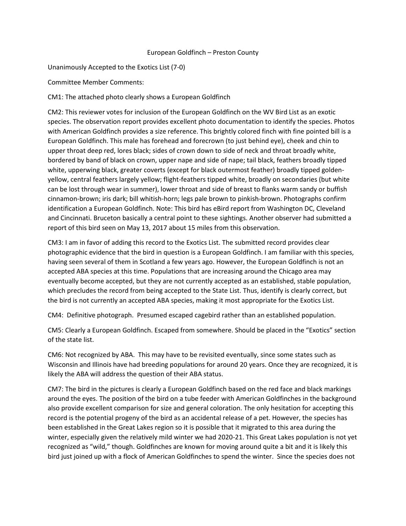## European Goldfinch – Preston County

Unanimously Accepted to the Exotics List (7-0)

Committee Member Comments:

CM1: The attached photo clearly shows a European Goldfinch

CM2: This reviewer votes for inclusion of the European Goldfinch on the WV Bird List as an exotic species. The observation report provides excellent photo documentation to identify the species. Photos with American Goldfinch provides a size reference. This brightly colored finch with fine pointed bill is a European Goldfinch. This male has forehead and forecrown (to just behind eye), cheek and chin to upper throat deep red, lores black; sides of crown down to side of neck and throat broadly white, bordered by band of black on crown, upper nape and side of nape; tail black, feathers broadly tipped white, upperwing black, greater coverts (except for black outermost feather) broadly tipped goldenyellow, central feathers largely yellow; flight-feathers tipped white, broadly on secondaries (but white can be lost through wear in summer), lower throat and side of breast to flanks warm sandy or buffish cinnamon-brown; iris dark; bill whitish-horn; legs pale brown to pinkish-brown. Photographs confirm identification a European Goldfinch. Note: This bird has eBird report from Washington DC, Cleveland and Cincinnati. Bruceton basically a central point to these sightings. Another observer had submitted a report of this bird seen on May 13, 2017 about 15 miles from this observation.

CM3: I am in favor of adding this record to the Exotics List. The submitted record provides clear photographic evidence that the bird in question is a European Goldfinch. I am familiar with this species, having seen several of them in Scotland a few years ago. However, the European Goldfinch is not an accepted ABA species at this time. Populations that are increasing around the Chicago area may eventually become accepted, but they are not currently accepted as an established, stable population, which precludes the record from being accepted to the State List. Thus, identify is clearly correct, but the bird is not currently an accepted ABA species, making it most appropriate for the Exotics List.

CM4: Definitive photograph. Presumed escaped cagebird rather than an established population.

CM5: Clearly a European Goldfinch. Escaped from somewhere. Should be placed in the "Exotics" section of the state list.

CM6: Not recognized by ABA. This may have to be revisited eventually, since some states such as Wisconsin and Illinois have had breeding populations for around 20 years. Once they are recognized, it is likely the ABA will address the question of their ABA status.

CM7: The bird in the pictures is clearly a European Goldfinch based on the red face and black markings around the eyes. The position of the bird on a tube feeder with American Goldfinches in the background also provide excellent comparison for size and general coloration. The only hesitation for accepting this record is the potential progeny of the bird as an accidental release of a pet. However, the species has been established in the Great Lakes region so it is possible that it migrated to this area during the winter, especially given the relatively mild winter we had 2020-21. This Great Lakes population is not yet recognized as "wild," though. Goldfinches are known for moving around quite a bit and it is likely this bird just joined up with a flock of American Goldfinches to spend the winter. Since the species does not